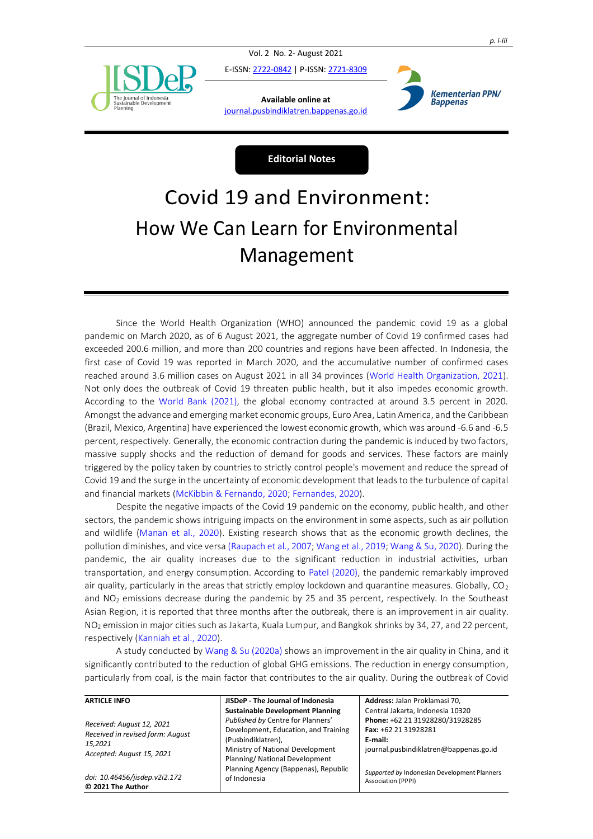

Vol. 2 No. 2- August 2021

E-ISSN[: 2722-0842](https://issn.lipi.go.id/terbit/detail/1587018130) | P-ISSN[: 2721-8309](https://issn.lipi.go.id/terbit/detail/1586948487)

**Available online at** [journal.pusbindiklatren.bappenas.go.id](http://jurnal.pusbindiklatren.bappenas.go.id/lib/jisdep)



**Editorial Notes**

## Covid 19 and Environment: How We Can Learn for Environmental Management

Since the World Health Organization (WHO) announced the pandemic covid 19 as a global pandemic on March 2020, as of 6 August 2021, the aggregate number of Covid 19 confirmed cases had exceeded 200.6 million, and more than 200 countries and regions have been affected. In Indonesia, the first case of Covid 19 was reported in March 2020, and the accumulative number of confirmed cases reached around 3.6 million cases on August 2021 in all 34 provinces [\(World Health Organization, 2021\)](#page-1-0). Not only does the outbreak of Covid 19 threaten public health, but it also impedes economic growth. According to the [World Bank \(2021\),](#page-1-0) the global economy contracted at around 3.5 percent in 2020. Amongst the advance and emerging market economic groups, Euro Area, Latin America, and the Caribbean (Brazil, Mexico, Argentina) have experienced the lowest economic growth, which was around -6.6 and -6.5 percent, respectively. Generally, the economic contraction during the pandemic is induced by two factors, massive supply shocks and the reduction of demand for goods and services. These factors are mainly triggered by the policy taken by countries to strictly control people's movement and reduce the spread of Covid 19 and the surge in the uncertainty of economic development that leads to the turbulence of capital and financial markets [\(McKibbin & Fernando, 2020; Fernandes, 2020\)](#page-1-0).

Despite the negative impacts of the Covid 19 pandemic on the economy, public health, and other sectors, the pandemic shows intriguing impacts on the environment in some aspects, such as air pollution and wildlife [\(Manan et al., 2020\)](#page-1-0). Existing research shows that as the economic growth declines, the pollution diminishes, and vice vers[a \(Raupach et al., 2007;](#page-1-0) [Wang et al., 2019;](#page-1-0) [Wang & Su, 2020\)](#page-1-0). During the pandemic, the air quality increases due to the significant reduction in industrial activities, urban transportation, and energy consumption. According to [Patel \(2020\),](#page-1-0) the pandemic remarkably improved air quality, particularly in the areas that strictly employ lockdown and quarantine measures. Globally,  $CO<sub>2</sub>$ and  $NO<sub>2</sub>$  emissions decrease during the pandemic by 25 and 35 percent, respectively. In the Southeast Asian Region, it is reported that three months after the outbreak, there is an improvement in air quality. NO<sup>2</sup> emission in major cities such as Jakarta, Kuala Lumpur, and Bangkok shrinks by 34, 27, and 22 percent, respectively [\(Kanniah et al., 2020\)](#page-1-0).

A study conducted b[y Wang & Su \(2020a\)](#page-1-0) shows an improvement in the air quality in China, and it significantly contributed to the reduction of global GHG emissions. The reduction in energy consumption, particularly from coal, is the main factor that contributes to the air quality. During the outbreak of Covid

| <b>ARTICLE INFO</b>                                                                                   | JISDeP - The Journal of Indonesia                    | Address: Jalan Proklamasi 70,                                             |
|-------------------------------------------------------------------------------------------------------|------------------------------------------------------|---------------------------------------------------------------------------|
| Received: August 12, 2021<br>Received in revised form: August<br>15.2021<br>Accepted: August 15, 2021 | <b>Sustainable Development Planning</b>              | Central Jakarta, Indonesia 10320                                          |
|                                                                                                       | Published by Centre for Planners'                    | Phone: +62 21 31928280/31928285                                           |
|                                                                                                       | Development, Education, and Training                 | Fax: +62 21 31928281                                                      |
|                                                                                                       | (Pusbindiklatren),                                   | E-mail:                                                                   |
|                                                                                                       | Ministry of National Development                     | journal.pusbindiklatren@bappenas.go.id                                    |
|                                                                                                       | Planning/ National Development                       |                                                                           |
| doi: 10.46456/jisdep.v2i2.172<br>C 2021 The Author                                                    | Planning Agency (Bappenas), Republic<br>of Indonesia | Supported by Indonesian Development Planners<br><b>Association (PPPI)</b> |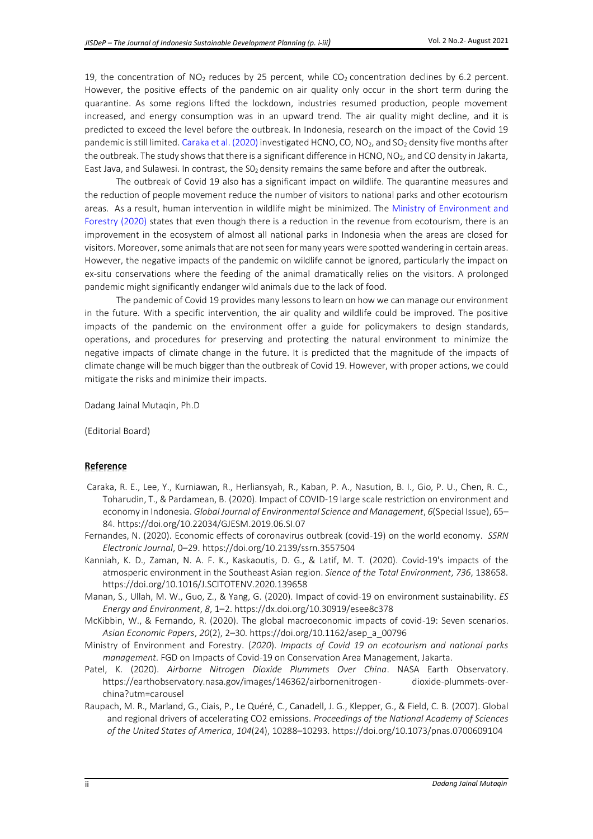19, the concentration of  $NO<sub>2</sub>$  reduces by 25 percent, while  $CO<sub>2</sub>$  concentration declines by 6.2 percent. However, the positive effects of the pandemic on air quality only occur in the short term during the quarantine. As some regions lifted the lockdown, industries resumed production, people movement increased, and energy consumption was in an upward trend. The air quality might decline, and it is predicted to exceed the level before the outbreak. In Indonesia, research on the impact of the Covid 19 pandemic is still limited[. Caraka et al. \(2020\)](#page-1-0) investigated HCNO, CO, NO<sub>2</sub>, and SO<sub>2</sub> density five months after the outbreak. The study shows that there is a significant difference in HCNO,  $NO<sub>2</sub>$ , and CO density in Jakarta, East Java, and Sulawesi. In contrast, the  $SO<sub>2</sub>$  density remains the same before and after the outbreak.

The outbreak of Covid 19 also has a significant impact on wildlife. The quarantine measures and the reduction of people movement reduce the number of visitors to national parks and other ecotourism areas. As a result, human intervention in wildlife might be minimized. The [Ministry of Environment and](#page-1-0)  [Forestry](#page-1-0) (2020) states that even though there is a reduction in the revenue from ecotourism, there is an improvement in the ecosystem of almost all national parks in Indonesia when the areas are closed for visitors. Moreover, some animals that are not seen for many years were spotted wandering in certain areas. However, the negative impacts of the pandemic on wildlife cannot be ignored, particularly the impact on ex-situ conservations where the feeding of the animal dramatically relies on the visitors. A prolonged pandemic might significantly endanger wild animals due to the lack of food.

The pandemic of Covid 19 provides many lessons to learn on how we can manage our environment in the future. With a specific intervention, the air quality and wildlife could be improved. The positive impacts of the pandemic on the environment offer a guide for policymakers to design standards, operations, and procedures for preserving and protecting the natural environment to minimize the negative impacts of climate change in the future. It is predicted that the magnitude of the impacts of climate change will be much bigger than the outbreak of Covid 19. However, with proper actions, we could mitigate the risks and minimize their impacts.

Dadang Jainal Mutaqin, Ph.D

(Editorial Board)

## **Reference**

- <span id="page-1-0"></span>Caraka, R. E., Lee, Y., Kurniawan, R., Herliansyah, R., Kaban, P. A., Nasution, B. I., Gio, P. U., Chen, R. C., Toharudin, T., & Pardamean, B. (2020). Impact of COVID-19 large scale restriction on environment and economy in Indonesia. *Global Journal of Environmental Science and Management*, *6*(Special Issue), 65– 84. https://doi.org/10.22034/GJESM.2019.06.SI.07
- Fernandes, N. (2020). Economic effects of coronavirus outbreak (covid-19) on the world economy. *SSRN Electronic Journal*, 0–29. https://doi.org/10.2139/ssrn.3557504
- Kanniah, K. D., Zaman, N. A. F. K., Kaskaoutis, D. G., & Latif, M. T. (2020). Covid-19's impacts of the atmosperic environment in the Southeast Asian region. *Sience of the Total Environment*, *736*, 138658. https://doi.org/10.1016/J.SCITOTENV.2020.139658
- Manan, S., Ullah, M. W., Guo, Z., & Yang, G. (2020). Impact of covid-19 on environment sustainability. *ES Energy and Environment*, *8*, 1–2. https://dx.doi.org/10.30919/esee8c378
- McKibbin, W., & Fernando, R. (2020). The global macroeconomic impacts of covid-19: Seven scenarios. *Asian Economic Papers*, *20*(2), 2–30. https://doi.org/10.1162/asep\_a\_00796
- Ministry of Environment and Forestry. (*2020*). *Impacts of Covid 19 on ecotourism and national parks management*. FGD on Impacts of Covid-19 on Conservation Area Management, Jakarta.
- Patel, K. (2020). *Airborne Nitrogen Dioxide Plummets Over China*. NASA Earth Observatory. https://earthobservatory.nasa.gov/images/146362/airbornenitrogen- dioxide-plummets-overchina?utm=carousel
- Raupach, M. R., Marland, G., Ciais, P., Le Quéré, C., Canadell, J. G., Klepper, G., & Field, C. B. (2007). Global and regional drivers of accelerating CO2 emissions. *Proceedings of the National Academy of Sciences of the United States of America*, *104*(24), 10288–10293. https://doi.org/10.1073/pnas.0700609104